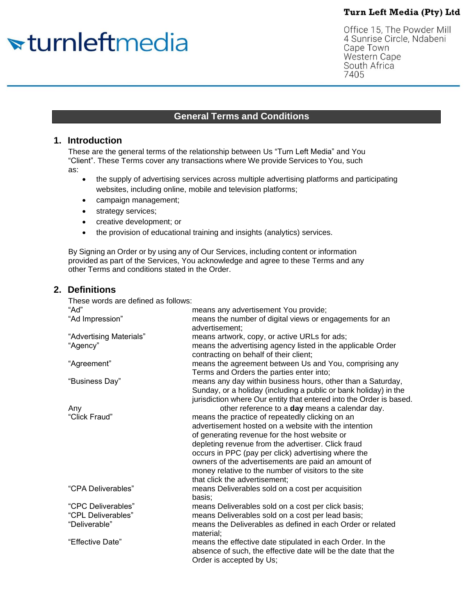# <del>v</del>turnleftmedia

Office 15, The Powder Mill 4 Sunrise Circle, Ndabeni Cape Town Western Cape South Africa 7405

## **General Terms and Conditions**

## **1. Introduction**

These are the general terms of the relationship between Us "Turn Left Media" and You "Client". These Terms cover any transactions where We provide Services to You, such as:

- the supply of advertising services across multiple advertising platforms and participating websites, including online, mobile and television platforms;
- campaign management;
- strategy services;
- creative development; or
- the provision of educational training and insights (analytics) services.

By Signing an Order or by using any of Our Services, including content or information provided as part of the Services, You acknowledge and agree to these Terms and any other Terms and conditions stated in the Order.

## **2. Definitions**

| These words are defined as follows: |                                                                                                                                                                                                                                                                                                                                                                                                                      |
|-------------------------------------|----------------------------------------------------------------------------------------------------------------------------------------------------------------------------------------------------------------------------------------------------------------------------------------------------------------------------------------------------------------------------------------------------------------------|
| "Ad"                                | means any advertisement You provide;                                                                                                                                                                                                                                                                                                                                                                                 |
| "Ad Impression"                     | means the number of digital views or engagements for an<br>advertisement:                                                                                                                                                                                                                                                                                                                                            |
| "Advertising Materials"             | means artwork, copy, or active URLs for ads;                                                                                                                                                                                                                                                                                                                                                                         |
| "Agency"                            | means the advertising agency listed in the applicable Order<br>contracting on behalf of their client;                                                                                                                                                                                                                                                                                                                |
| "Agreement"                         | means the agreement between Us and You, comprising any<br>Terms and Orders the parties enter into;                                                                                                                                                                                                                                                                                                                   |
| "Business Day"                      | means any day within business hours, other than a Saturday,<br>Sunday, or a holiday (including a public or bank holiday) in the<br>jurisdiction where Our entity that entered into the Order is based.                                                                                                                                                                                                               |
| Any                                 | other reference to a day means a calendar day.                                                                                                                                                                                                                                                                                                                                                                       |
| "Click Fraud"                       | means the practice of repeatedly clicking on an<br>advertisement hosted on a website with the intention<br>of generating revenue for the host website or<br>depleting revenue from the advertiser. Click fraud<br>occurs in PPC (pay per click) advertising where the<br>owners of the advertisements are paid an amount of<br>money relative to the number of visitors to the site<br>that click the advertisement; |
| "CPA Deliverables"                  | means Deliverables sold on a cost per acquisition<br>basis;                                                                                                                                                                                                                                                                                                                                                          |
| "CPC Deliverables"                  | means Deliverables sold on a cost per click basis;                                                                                                                                                                                                                                                                                                                                                                   |
| "CPL Deliverables"                  | means Deliverables sold on a cost per lead basis;                                                                                                                                                                                                                                                                                                                                                                    |
| "Deliverable"                       | means the Deliverables as defined in each Order or related<br>material;                                                                                                                                                                                                                                                                                                                                              |
| "Effective Date"                    | means the effective date stipulated in each Order. In the<br>absence of such, the effective date will be the date that the<br>Order is accepted by Us;                                                                                                                                                                                                                                                               |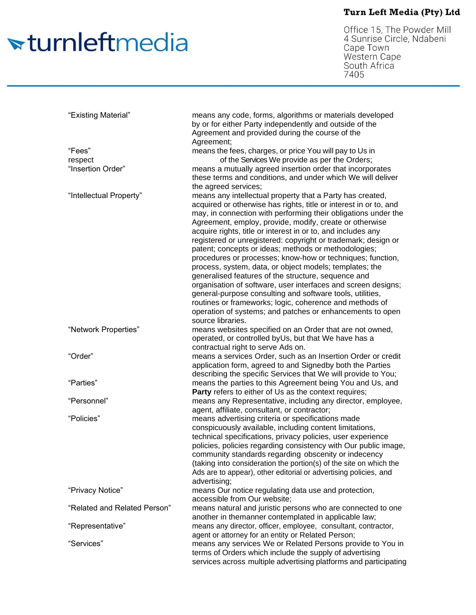# <del>v</del>turnleftmedia

Office 15, The Powder Mill<br>4 Sunrise Circle, Ndabeni<br>Cape Town Western Cape South Africa<br>7405

| "Existing Material"          | means any code, forms, algorithms or materials developed<br>by or for either Party independently and outside of the<br>Agreement and provided during the course of the<br>Agreement;                                                                                                                                                                                                                                                                                                                                                                                                                                                                                                                                                                                                                                          |
|------------------------------|-------------------------------------------------------------------------------------------------------------------------------------------------------------------------------------------------------------------------------------------------------------------------------------------------------------------------------------------------------------------------------------------------------------------------------------------------------------------------------------------------------------------------------------------------------------------------------------------------------------------------------------------------------------------------------------------------------------------------------------------------------------------------------------------------------------------------------|
| "Fees"                       | means the fees, charges, or price You will pay to Us in                                                                                                                                                                                                                                                                                                                                                                                                                                                                                                                                                                                                                                                                                                                                                                       |
| respect                      | of the Services We provide as per the Orders;                                                                                                                                                                                                                                                                                                                                                                                                                                                                                                                                                                                                                                                                                                                                                                                 |
| "Insertion Order"            | means a mutually agreed insertion order that incorporates<br>these terms and conditions, and under which We will deliver<br>the agreed services;                                                                                                                                                                                                                                                                                                                                                                                                                                                                                                                                                                                                                                                                              |
| "Intellectual Property"      | means any intellectual property that a Party has created,<br>acquired or otherwise has rights, title or interest in or to, and<br>may, in connection with performing their obligations under the<br>Agreement, employ, provide, modify, create or otherwise<br>acquire rights, title or interest in or to, and includes any<br>registered or unregistered: copyright or trademark; design or<br>patent; concepts or ideas; methods or methodologies;<br>procedures or processes; know-how or techniques; function,<br>process, system, data, or object models; templates; the<br>generalised features of the structure, sequence and<br>organisation of software, user interfaces and screen designs;<br>general-purpose consulting and software tools, utilities,<br>routines or frameworks; logic, coherence and methods of |
|                              | operation of systems; and patches or enhancements to open<br>source libraries.                                                                                                                                                                                                                                                                                                                                                                                                                                                                                                                                                                                                                                                                                                                                                |
| "Network Properties"         | means websites specified on an Order that are not owned,<br>operated, or controlled byUs, but that We have has a<br>contractual right to serve Ads on.                                                                                                                                                                                                                                                                                                                                                                                                                                                                                                                                                                                                                                                                        |
| "Order"                      | means a services Order, such as an Insertion Order or credit<br>application form, agreed to and Signedby both the Parties                                                                                                                                                                                                                                                                                                                                                                                                                                                                                                                                                                                                                                                                                                     |
| "Parties"                    | describing the specific Services that We will provide to You;<br>means the parties to this Agreement being You and Us, and<br>Party refers to either of Us as the context requires;                                                                                                                                                                                                                                                                                                                                                                                                                                                                                                                                                                                                                                           |
| "Personnel"                  | means any Representative, including any director, employee,<br>agent, affiliate, consultant, or contractor;                                                                                                                                                                                                                                                                                                                                                                                                                                                                                                                                                                                                                                                                                                                   |
| "Policies"                   | means advertising criteria or specifications made<br>conspicuously available, including content limitations,<br>technical specifications, privacy policies, user experience<br>policies, policies regarding consistency with Our public image,<br>community standards regarding obscenity or indecency<br>(taking into consideration the portion(s) of the site on which the<br>Ads are to appear), other editorial or advertising policies, and<br>advertising;                                                                                                                                                                                                                                                                                                                                                              |
| "Privacy Notice"             | means Our notice regulating data use and protection,<br>accessible from Our website;                                                                                                                                                                                                                                                                                                                                                                                                                                                                                                                                                                                                                                                                                                                                          |
| "Related and Related Person" | means natural and juristic persons who are connected to one<br>another in themanner contemplated in applicable law;                                                                                                                                                                                                                                                                                                                                                                                                                                                                                                                                                                                                                                                                                                           |
| "Representative"             | means any director, officer, employee, consultant, contractor,<br>agent or attorney for an entity or Related Person;                                                                                                                                                                                                                                                                                                                                                                                                                                                                                                                                                                                                                                                                                                          |
| "Services"                   | means any services We or Related Persons provide to You in<br>terms of Orders which include the supply of advertising<br>services across multiple advertising platforms and participating                                                                                                                                                                                                                                                                                                                                                                                                                                                                                                                                                                                                                                     |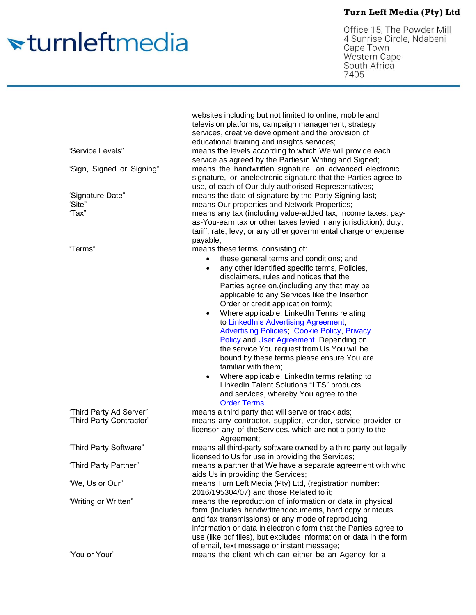# <del>v</del>turnleftmedia

Office 15, The Powder Mill<br>4 Sunrise Circle, Ndabeni<br>Cape Town<br>Western Cape South Africa<br>7405

| "Service Levels"<br>"Sign, Signed or Signing"<br>"Signature Date" | websites including but not limited to online, mobile and<br>television platforms, campaign management, strategy<br>services, creative development and the provision of<br>educational training and insights services;<br>means the levels according to which We will provide each<br>service as agreed by the Partiesin Writing and Signed;<br>means the handwritten signature, an advanced electronic<br>signature, or anelectronic signature that the Parties agree to<br>use, of each of Our duly authorised Representatives;<br>means the date of signature by the Party Signing last;                                                                                                                                                                                                                                           |
|-------------------------------------------------------------------|--------------------------------------------------------------------------------------------------------------------------------------------------------------------------------------------------------------------------------------------------------------------------------------------------------------------------------------------------------------------------------------------------------------------------------------------------------------------------------------------------------------------------------------------------------------------------------------------------------------------------------------------------------------------------------------------------------------------------------------------------------------------------------------------------------------------------------------|
| "Site"<br>"Tax"                                                   | means Our properties and Network Properties;<br>means any tax (including value-added tax, income taxes, pay-<br>as-You-earn tax or other taxes levied inany jurisdiction), duty,<br>tariff, rate, levy, or any other governmental charge or expense<br>payable;                                                                                                                                                                                                                                                                                                                                                                                                                                                                                                                                                                      |
| "Terms"                                                           | means these terms, consisting of:<br>these general terms and conditions; and<br>٠<br>any other identified specific terms, Policies,<br>$\bullet$<br>disclaimers, rules and notices that the<br>Parties agree on, (including any that may be<br>applicable to any Services like the Insertion<br>Order or credit application form);<br>Where applicable, LinkedIn Terms relating<br>$\bullet$<br>to LinkedIn's Advertising Agreement,<br><b>Advertising Policies; Cookie Policy, Privacy</b><br>Policy and User Agreement. Depending on<br>the service You request from Us You will be<br>bound by these terms please ensure You are<br>familiar with them;<br>Where applicable, LinkedIn terms relating to<br>$\bullet$<br>LinkedIn Talent Solutions "LTS" products<br>and services, whereby You agree to the<br><b>Order Terms.</b> |
| "Third Party Ad Server"<br>"Third Party Contractor"               | means a third party that will serve or track ads;<br>means any contractor, supplier, vendor, service provider or<br>licensor any of the Services, which are not a party to the<br>Agreement;                                                                                                                                                                                                                                                                                                                                                                                                                                                                                                                                                                                                                                         |
| "Third Party Software"                                            | means all third-party software owned by a third party but legally<br>licensed to Us for use in providing the Services;                                                                                                                                                                                                                                                                                                                                                                                                                                                                                                                                                                                                                                                                                                               |
| "Third Party Partner"                                             | means a partner that We have a separate agreement with who<br>aids Us in providing the Services;                                                                                                                                                                                                                                                                                                                                                                                                                                                                                                                                                                                                                                                                                                                                     |
| "We, Us or Our"                                                   | means Turn Left Media (Pty) Ltd, (registration number:<br>2016/195304/07) and those Related to it;                                                                                                                                                                                                                                                                                                                                                                                                                                                                                                                                                                                                                                                                                                                                   |
| "Writing or Written"                                              | means the reproduction of information or data in physical<br>form (includes handwrittendocuments, hard copy printouts<br>and fax transmissions) or any mode of reproducing<br>information or data in electronic form that the Parties agree to<br>use (like pdf files), but excludes information or data in the form<br>of email, text message or instant message;                                                                                                                                                                                                                                                                                                                                                                                                                                                                   |
| "You or Your"                                                     | means the client which can either be an Agency for a                                                                                                                                                                                                                                                                                                                                                                                                                                                                                                                                                                                                                                                                                                                                                                                 |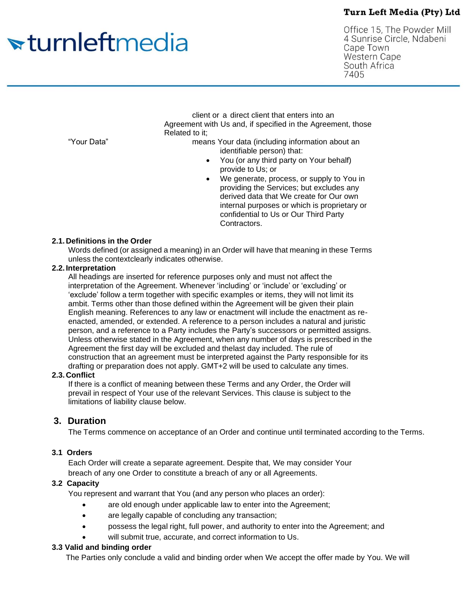# <del>sturnleftmedia</del>

Office 15, The Powder Mill 4 Sunrise Circle, Ndabeni Cape Town **Western Cape** South Africa 7405

client or a direct client that enters into an Agreement with Us and, if specified in the Agreement, those Related to it;

"Your Data" means Your data (including information about an identifiable person) that:

- You (or any third party on Your behalf) provide to Us; or
- We generate, process, or supply to You in providing the Services; but excludes any derived data that We create for Our own internal purposes or which is proprietary or confidential to Us or Our Third Party Contractors.

#### **2.1. Definitions in the Order**

Words defined (or assigned a meaning) in an Order will have that meaning in these Terms unless the context clearly indicates otherwise.

#### **2.2. Interpretation**

All headings are inserted for reference purposes only and must not affect the interpretation of the Agreement. Whenever 'including' or 'include' or 'excluding' or 'exclude' follow a term together with specific examples or items, they will not limit its ambit. Terms other than those defined within the Agreement will be given their plain English meaning. References to any law or enactment will include the enactment as reenacted, amended, or extended. A reference to a person includes a natural and juristic person, and a reference to a Party includes the Party's successors or permitted assigns. Unless otherwise stated in the Agreement, when any number of days is prescribed in the Agreement the first day will be excluded and thelast day included. The rule of construction that an agreement must be interpreted against the Party responsible for its drafting or preparation does not apply. GMT+2 will be used to calculate any times.

#### **2.3. Conflict**

If there is a conflict of meaning between these Terms and any Order, the Order will prevail in respect of Your use of the relevant Services. This clause is subject to the limitations of liability clause below.

## **3. Duration**

The Terms commence on acceptance of an Order and continue until terminated according to the Terms.

#### **3.1 Orders**

Each Order will create a separate agreement. Despite that, We may consider Your breach of any one Order to constitute a breach of any or all Agreements.

#### **3.2 Capacity**

You represent and warrant that You (and any person who places an order):

- are old enough under applicable law to enter into the Agreement;
- are legally capable of concluding any transaction;
- possess the legal right, full power, and authority to enter into the Agreement; and
- will submit true, accurate, and correct information to Us.

#### **3.3 Valid and binding order**

The Parties only conclude a valid and binding order when We accept the offer made by You. We will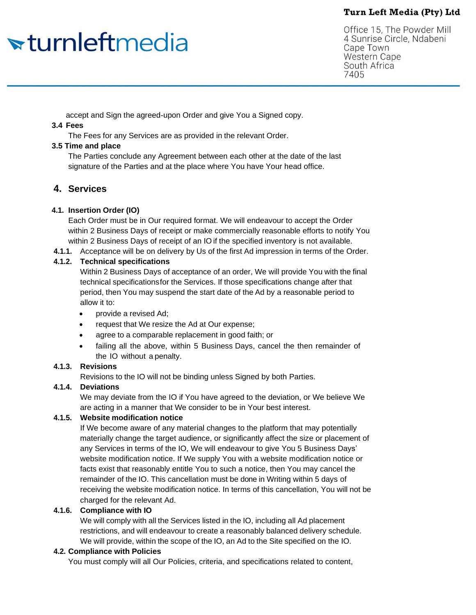# <del>sturnleftmedia</del>

Office 15, The Powder Mill 4 Sunrise Circle, Ndabeni Cape Town **Western Cape** South Africa 7405

accept and Sign the agreed-upon Order and give You a Signed copy.

#### **3.4 Fees**

The Fees for any Services are as provided in the relevant Order.

#### **3.5 Time and place**

The Parties conclude any Agreement between each other at the date of the last signature of the Parties and at the place where You have Your head office.

# **4. Services**

## **4.1. Insertion Order (IO)**

Each Order must be in Our required format. We will endeavour to accept the Order within 2 Business Days of receipt or make commercially reasonable efforts to notify You within 2 Business Days of receipt of an IO if the specified inventory is not available.

**4.1.1.** Acceptance will be on delivery by Us of the first Ad impression in terms of the Order.

#### **4.1.2. Technical specifications**

Within 2 Business Days of acceptance of an order, We will provide You with the final technical specifications for the Services. If those specifications change after that period, then You may suspend the start date of the Ad by a reasonable period to allow it to:

- provide a revised Ad;
- request that We resize the Ad at Our expense;
- agree to a comparable replacement in good faith; or
- failing all the above, within 5 Business Days, cancel the then remainder of the IO without a penalty.

## **4.1.3. Revisions**

Revisions to the IO will not be binding unless Signed by both Parties.

## **4.1.4. Deviations**

We may deviate from the IO if You have agreed to the deviation, or We believe We are acting in a manner that We consider to be in Your best interest.

## **4.1.5. Website modification notice**

If We become aware of any material changes to the platform that may potentially materially change the target audience, or significantly affect the size or placement of any Services in terms of the IO, We will endeavour to give You 5 Business Days' website modification notice. If We supply You with a website modification notice or facts exist that reasonably entitle You to such a notice, then You may cancel the remainder of the IO. This cancellation must be done in Writing within 5 days of receiving the website modification notice. In terms of this cancellation, You will not be charged for the relevant Ad.

## **4.1.6. Compliance with IO**

We will comply with all the Services listed in the IO, including all Ad placement restrictions, and will endeavour to create a reasonably balanced delivery schedule. We will provide, within the scope of the IO, an Ad to the Site specified on the IO.

## **4.2. Compliance with Policies**

You must comply will all Our Policies, criteria, and specifications related to content,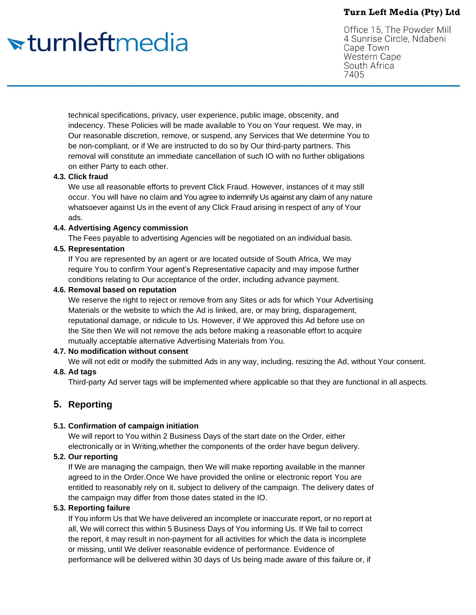# <del>sturnleftmedia</del>

Office 15, The Powder Mill 4 Sunrise Circle, Ndabeni Cape Town **Western Cape** South Africa 7405

technical specifications, privacy, user experience, public image, obscenity, and indecency. These Policies will be made available to You on Your request. We may, in Our reasonable discretion, remove, or suspend, any Services that We determine You to be non-compliant, or if We are instructed to do so by Our third-party partners. This removal will constitute an immediate cancellation of such IO with no further obligations on either Party to each other.

#### **4.3. Click fraud**

We use all reasonable efforts to prevent Click Fraud. However, instances of it may still occur. You will have no claim and You agree to indemnify Us against any claim of any nature whatsoever against Us in the event of any Click Fraud arising in respect of any of Your ads.

#### **4.4. Advertising Agency commission**

The Fees payable to advertising Agencies will be negotiated on an individual basis.

#### **4.5. Representation**

If You are represented by an agent or are located outside of South Africa, We may require You to confirm Your agent's Representative capacity and may impose further conditions relating to Our acceptance of the order, including advance payment.

#### **4.6. Removal based on reputation**

We reserve the right to reject or remove from any Sites or ads for which Your Advertising Materials or the website to which the Ad is linked, are, or may bring, disparagement, reputational damage, or ridicule to Us. However, if We approved this Ad before use on the Site then We will not remove the ads before making a reasonable effort to acquire mutually acceptable alternative Advertising Materials from You.

## **4.7. No modification without consent**

We will not edit or modify the submitted Ads in any way, including, resizing the Ad, without Your consent.

## **4.8. Ad tags**

Third-party Ad server tags will be implemented where applicable so that they are functional in all aspects.

## **5. Reporting**

#### **5.1. Confirmation of campaign initiation**

We will report to You within 2 Business Days of the start date on the Order, either electronically or in Writing,whether the components of the order have begun delivery.

## **5.2. Our reporting**

If We are managing the campaign, then We will make reporting available in the manner agreed to in the Order.Once We have provided the online or electronic report You are entitled to reasonably rely on it, subject to delivery of the campaign. The delivery dates of the campaign may differ from those dates stated in the IO.

#### **5.3. Reporting failure**

If You inform Us that We have delivered an incomplete or inaccurate report, or no report at all, We will correct this within 5 Business Days of You informing Us. If We fail to correct the report, it may result in non-payment for all activities for which the data is incomplete or missing, until We deliver reasonable evidence of performance. Evidence of performance will be delivered within 30 days of Us being made aware of this failure or, if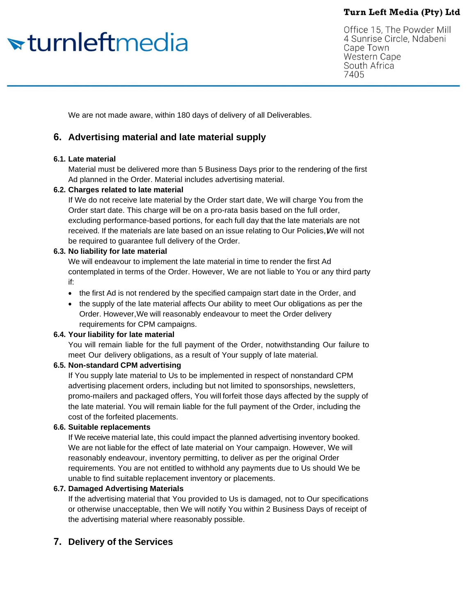# <del>sturnleftmedia</del>

Office 15, The Powder Mill 4 Sunrise Circle, Ndabeni Cape Town **Western Cape** South Africa 7405

We are not made aware, within 180 days of delivery of all Deliverables.

## **6. Advertising material and late material supply**

#### **6.1. Late material**

Material must be delivered more than 5 Business Days prior to the rendering of the first Ad planned in the Order. Material includes advertising material.

#### **6.2. Charges related to late material**

If We do not receive late material by the Order start date, We will charge You from the Order start date. This charge will be on a pro-rata basis based on the full order, excluding performance-based portions, for each full day that the late materials are not received. If the materials are late based on an issue relating to Our Policies, twe will not be required to guarantee full delivery of the Order.

#### **6.3. No liability for late material**

We will endeavour to implement the late material in time to render the first Ad contemplated in terms of the Order. However, We are not liable to You or any third party if:

- the first Ad is not rendered by the specified campaign start date in the Order, and
- the supply of the late material affects Our ability to meet Our obligations as per the Order. However,We will reasonably endeavour to meet the Order delivery requirements for CPM campaigns.

#### **6.4. Your liability for late material**

You will remain liable for the full payment of the Order, notwithstanding Our failure to meet Our delivery obligations, as a result of Your supply of late material.

#### **6.5. Non-standard CPM advertising**

If You supply late material to Us to be implemented in respect of nonstandard CPM advertising placement orders, including but not limited to sponsorships, newsletters, promo-mailers and packaged offers, You will forfeit those days affected by the supply of the late material. You will remain liable for the full payment of the Order, including the cost of the forfeited placements.

#### **6.6. Suitable replacements**

If We receive material late, this could impact the planned advertising inventory booked. We are not liable for the effect of late material on Your campaign. However, We will reasonably endeavour, inventory permitting, to deliver as per the original Order requirements. You are not entitled to withhold any payments due to Us should We be unable to find suitable replacement inventory or placements.

#### **6.7. Damaged Advertising Materials**

If the advertising material that You provided to Us is damaged, not to Our specifications or otherwise unacceptable, then We will notify You within 2 Business Days of receipt of the advertising material where reasonably possible.

## **7. Delivery of the Services**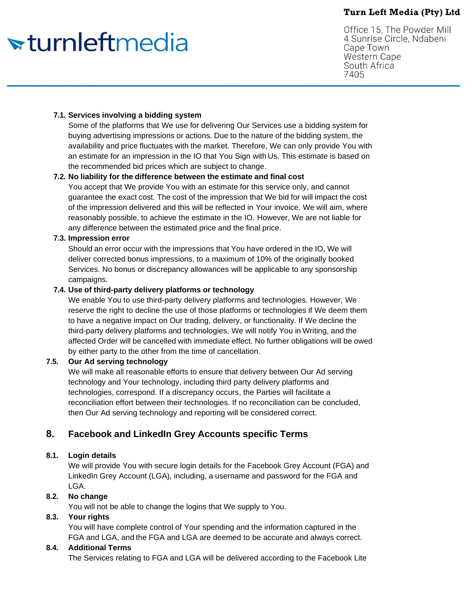# <del>v</del>turnleftmedia

Office 15, The Powder Mill 4 Sunrise Circle, Ndabeni Cape Town **Western Cape** South Africa 7405

#### **7.1. Services involving a bidding system**

Some of the platforms that We use for delivering Our Services use a bidding system for buying advertising impressions or actions. Due to the nature of the bidding system, the availability and price fluctuates with the market. Therefore, We can only provide You with an estimate for an impression in the IO that You Sign with Us. This estimate is based on the recommended bid prices which are subject to change.

#### **7.2. No liability for the difference between the estimate and final cost**

You accept that We provide You with an estimate for this service only, and cannot guarantee the exact cost. The cost of the impression that We bid for will impact the cost of the impression delivered and this will be reflected in Your invoice. We will aim, where reasonably possible, to achieve the estimate in the IO. However, We are not liable for any difference between the estimated price and the final price.

#### **7.3. Impression error**

Should an error occur with the impressions that You have ordered in the IO, We will deliver corrected bonus impressions, to a maximum of 10% of the originally booked Services. No bonus or discrepancy allowances will be applicable to any sponsorship campaigns.

#### **7.4. Use of third-party delivery platforms or technology**

We enable You to use third-party delivery platforms and technologies. However, We reserve the right to decline the use of those platforms or technologies if We deem them to have a negative impact on Our trading, delivery, or functionality. If We decline the third-party delivery platforms and technologies, We will notify You in Writing, and the affected Order will be cancelled with immediate effect. No further obligations will be owed by either party to the other from the time of cancellation.

#### **7.5. Our Ad serving technology**

We will make all reasonable efforts to ensure that delivery between Our Ad serving technology and Your technology, including third party delivery platforms and technologies, correspond. If a discrepancy occurs, the Parties will facilitate a reconciliation effort between their technologies. If no reconciliation can be concluded, then Our Ad serving technology and reporting will be considered correct.

## **8. Facebook and LinkedIn Grey Accounts specific Terms**

## **8.1. Login details**

We will provide You with secure login details for the Facebook Grey Account (FGA) and LinkedIn Grey Account (LGA), including, a username and password for the FGA and LGA.

## **8.2. No change**

You will not be able to change the logins that We supply to You.

#### **8.3. Your rights**

You will have complete control of Your spending and the information captured in the FGA and LGA, and the FGA and LGA are deemed to be accurate and always correct.

#### **8.4. Additional Terms**

The Services relating to FGA and LGA will be delivered according to the Facebook Lite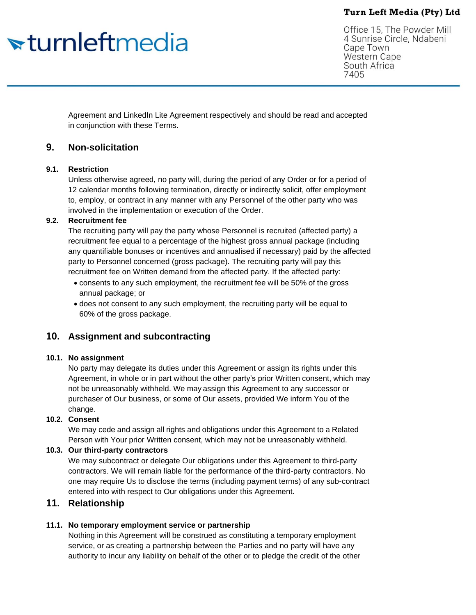# <del>v</del>turnleftmedia

Office 15, The Powder Mill 4 Sunrise Circle, Ndabeni Cape Town **Western Cape** South Africa 7405

Agreement and LinkedIn Lite Agreement respectively and should be read and accepted in conjunction with these Terms.

## **9. Non-solicitation**

#### **9.1. Restriction**

Unless otherwise agreed, no party will, during the period of any Order or for a period of 12 calendar months following termination, directly or indirectly solicit, offer employment to, employ, or contract in any manner with any Personnel of the other party who was involved in the implementation or execution of the Order.

#### **9.2. Recruitment fee**

The recruiting party will pay the party whose Personnel is recruited (affected party) a recruitment fee equal to a percentage of the highest gross annual package (including any quantifiable bonuses or incentives and annualised if necessary) paid by the affected party to Personnel concerned (gross package). The recruiting party will pay this recruitment fee on Written demand from the affected party. If the affected party:

- consents to any such employment, the recruitment fee will be 50% of the gross annual package; or
- does not consent to any such employment, the recruiting party will be equal to 60% of the gross package.

## **10. Assignment and subcontracting**

#### **10.1. No assignment**

No party may delegate its duties under this Agreement or assign its rights under this Agreement, in whole or in part without the other party's prior Written consent, which may not be unreasonably withheld. We may assign this Agreement to any successor or purchaser of Our business, or some of Our assets, provided We inform You of the change.

## **10.2. Consent**

We may cede and assign all rights and obligations under this Agreement to a Related Person with Your prior Written consent, which may not be unreasonably withheld.

#### **10.3. Our third-party contractors**

We may subcontract or delegate Our obligations under this Agreement to third-party contractors. We will remain liable for the performance of the third-party contractors. No one may require Us to disclose the terms (including payment terms) of any sub-contract entered into with respect to Our obligations under this Agreement.

## **11. Relationship**

## **11.1. No temporary employment service or partnership**

Nothing in this Agreement will be construed as constituting a temporary employment service, or as creating a partnership between the Parties and no party will have any authority to incur any liability on behalf of the other or to pledge the credit of the other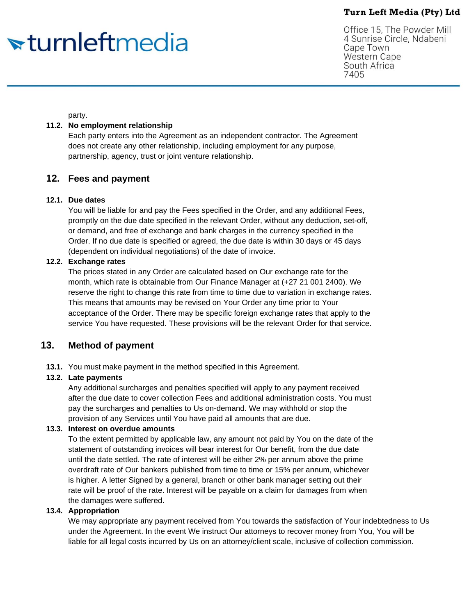# <del>v</del>turnleftmedia

Office 15, The Powder Mill 4 Sunrise Circle, Ndabeni Cape Town Western Cape South Africa 7405

party.

#### **11.2. No employment relationship**

Each party enters into the Agreement as an independent contractor. The Agreement does not create any other relationship, including employment for any purpose, partnership, agency, trust or joint venture relationship.

## **12. Fees and payment**

#### **12.1. Due dates**

You will be liable for and pay the Fees specified in the Order, and any additional Fees, promptly on the due date specified in the relevant Order, without any deduction, set-off, or demand, and free of exchange and bank charges in the currency specified in the Order. If no due date is specified or agreed, the due date is within 30 days or 45 days (dependent on individual negotiations) of the date of invoice.

#### **12.2. Exchange rates**

The prices stated in any Order are calculated based on Our exchange rate for the month, which rate is obtainable from Our Finance Manager at (+27 21 001 2400). We reserve the right to change this rate from time to time due to variation in exchange rates. This means that amounts may be revised on Your Order any time prior to Your acceptance of the Order. There may be specific foreign exchange rates that apply to the service You have requested. These provisions will be the relevant Order for that service.

## **13. Method of payment**

**13.1.** You must make payment in the method specified in this Agreement.

#### **13.2. Late payments**

Any additional surcharges and penalties specified will apply to any payment received after the due date to cover collection Fees and additional administration costs. You must pay the surcharges and penalties to Us on-demand. We may withhold or stop the provision of any Services until You have paid all amounts that are due.

#### **13.3. Interest on overdue amounts**

To the extent permitted by applicable law, any amount not paid by You on the date of the statement of outstanding invoices will bear interest for Our benefit, from the due date until the date settled. The rate of interest will be either 2% per annum above the prime overdraft rate of Our bankers published from time to time or 15% per annum, whichever is higher. A letter Signed by a general, branch or other bank manager setting out their rate will be proof of the rate. Interest will be payable on a claim for damages from when the damages were suffered.

#### **13.4. Appropriation**

We may appropriate any payment received from You towards the satisfaction of Your indebtedness to Us under the Agreement. In the event We instruct Our attorneys to recover money from You, You will be liable for all legal costs incurred by Us on an attorney/client scale, inclusive of collection commission.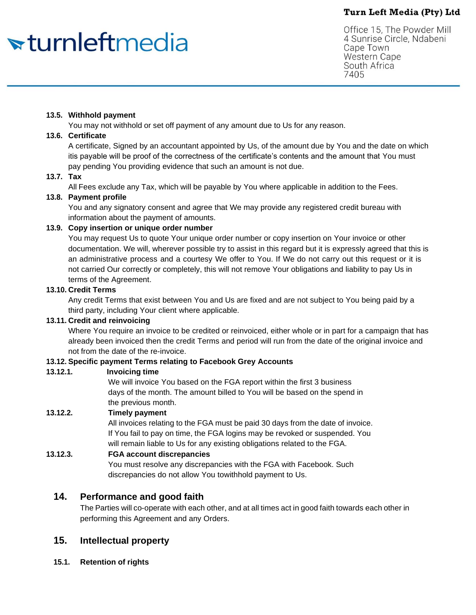# <del>v</del>turnleftmedia

Office 15, The Powder Mill 4 Sunrise Circle, Ndabeni Cape Town **Western Cape** South Africa 7405

#### **13.5. Withhold payment**

You may not withhold or set off payment of any amount due to Us for any reason.

## **13.6. Certificate**

A certificate, Signed by an accountant appointed by Us, of the amount due by You and the date on which itis payable will be proof of the correctness of the certificate's contents and the amount that You must pay pending You providing evidence that such an amount is not due.

## **13.7. Tax**

All Fees exclude any Tax, which will be payable by You where applicable in addition to the Fees.

## **13.8. Payment profile**

You and any signatory consent and agree that We may provide any registered credit bureau with information about the payment of amounts.

#### **13.9. Copy insertion or unique order number**

You may request Us to quote Your unique order number or copy insertion on Your invoice or other documentation. We will, wherever possible try to assist in this regard but it is expressly agreed that this is an administrative process and a courtesy We offer to You. If We do not carry out this request or it is not carried Our correctly or completely, this will not remove Your obligations and liability to pay Us in terms of the Agreement.

#### **13.10. Credit Terms**

Any credit Terms that exist between You and Us are fixed and are not subject to You being paid by a third party, including Your client where applicable.

#### **13.11. Credit and reinvoicing**

Where You require an invoice to be credited or reinvoiced, either whole or in part for a campaign that has already been invoiced then the credit Terms and period will run from the date of the original invoice and not from the date of the re-invoice.

#### **13.12. Specific payment Terms relating to Facebook Grey Accounts**

#### **13.12.1. Invoicing time**

We will invoice You based on the FGA report within the first 3 business days of the month. The amount billed to You will be based on the spend in the previous month.

## **13.12.2. Timely payment**

All invoices relating to the FGA must be paid 30 days from the date of invoice. If You fail to pay on time, the FGA logins may be revoked or suspended. You will remain liable to Us for any existing obligations related to the FGA.

#### **13.12.3. FGA account discrepancies**

You must resolve any discrepancies with the FGA with Facebook. Such discrepancies do not allow You towithhold payment to Us.

## **14. Performance and good faith**

The Parties will co-operate with each other, and at all times act in good faith towards each other in performing this Agreement and any Orders.

## **15. Intellectual property**

**15.1. Retention of rights**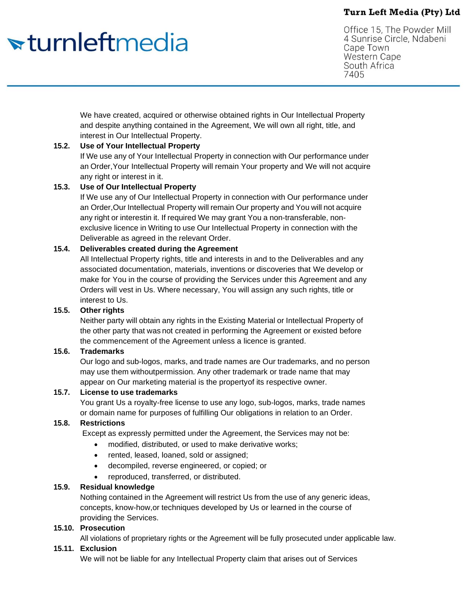# <del>v</del>turnleftmedia

Office 15, The Powder Mill 4 Sunrise Circle, Ndabeni Cape Town **Western Cape** South Africa 7405

We have created, acquired or otherwise obtained rights in Our Intellectual Property and despite anything contained in the Agreement, We will own all right, title, and interest in Our Intellectual Property.

## **15.2. Use of Your Intellectual Property**

If We use any of Your Intellectual Property in connection with Our performance under an Order,Your Intellectual Property will remain Your property and We will not acquire any right or interest in it.

## **15.3. Use of Our Intellectual Property**

If We use any of Our Intellectual Property in connection with Our performance under an Order,Our Intellectual Property will remain Our property and You will not acquire any right or interestin it. If required We may grant You a non-transferable, nonexclusive licence in Writing to use Our Intellectual Property in connection with the Deliverable as agreed in the relevant Order.

## **15.4. Deliverables created during the Agreement**

All Intellectual Property rights, title and interests in and to the Deliverables and any associated documentation, materials, inventions or discoveries that We develop or make for You in the course of providing the Services under this Agreement and any Orders will vest in Us. Where necessary, You will assign any such rights, title or interest to Us.

## **15.5. Other rights**

Neither party will obtain any rights in the Existing Material or Intellectual Property of the other party that was not created in performing the Agreement or existed before the commencement of the Agreement unless a licence is granted.

#### **15.6. Trademarks**

Our logo and sub-logos, marks, and trade names are Our trademarks, and no person may use them withoutpermission. Any other trademark or trade name that may appear on Our marketing material is the propertyof its respective owner.

#### **15.7. License to use trademarks**

You grant Us a royalty-free license to use any logo, sub-logos, marks, trade names or domain name for purposes of fulfilling Our obligations in relation to an Order.

## **15.8. Restrictions**

Except as expressly permitted under the Agreement, the Services may not be:

- modified, distributed, or used to make derivative works;
- rented, leased, loaned, sold or assigned;
- decompiled, reverse engineered, or copied; or
- reproduced, transferred, or distributed.

## **15.9. Residual knowledge**

Nothing contained in the Agreement will restrict Us from the use of any generic ideas, concepts, know-how,or techniques developed by Us or learned in the course of providing the Services.

## **15.10. Prosecution**

All violations of proprietary rights or the Agreement will be fully prosecuted under applicable law.

#### **15.11. Exclusion**

We will not be liable for any Intellectual Property claim that arises out of Services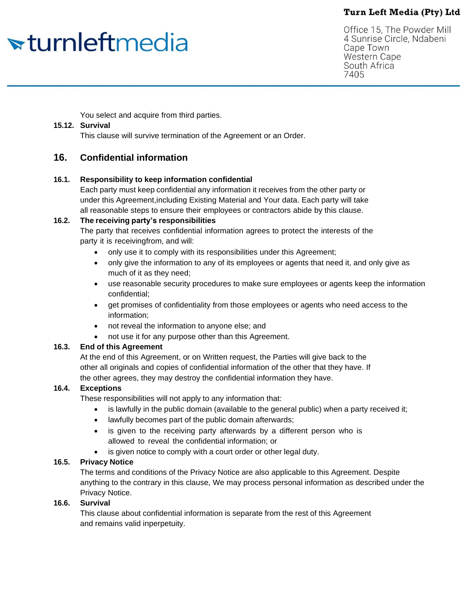# <del>sturnleftmedia</del>

Office 15, The Powder Mill 4 Sunrise Circle, Ndabeni Cape Town **Western Cape** South Africa 7405

You select and acquire from third parties.

#### **15.12. Survival**

This clause will survive termination of the Agreement or an Order.

## **16. Confidential information**

#### **16.1. Responsibility to keep information confidential**

Each party must keep confidential any information it receives from the other party or under this Agreement,including Existing Material and Your data. Each party will take all reasonable steps to ensure their employees or contractors abide by this clause.

#### **16.2. The receiving party's responsibilities**

The party that receives confidential information agrees to protect the interests of the party it is receivingfrom, and will:

- only use it to comply with its responsibilities under this Agreement;
- only give the information to any of its employees or agents that need it, and only give as much of it as they need;
- use reasonable security procedures to make sure employees or agents keep the information confidential;
- get promises of confidentiality from those employees or agents who need access to the information;
- not reveal the information to anyone else; and
- not use it for any purpose other than this Agreement.

#### **16.3. End of this Agreement**

At the end of this Agreement, or on Written request, the Parties will give back to the other all originals and copies of confidential information of the other that they have. If the other agrees, they may destroy the confidential information they have.

## **16.4. Exceptions**

These responsibilities will not apply to any information that:

- is lawfully in the public domain (available to the general public) when a party received it;
- lawfully becomes part of the public domain afterwards;
- is given to the receiving party afterwards by a different person who is allowed to reveal the confidential information; or
- is given notice to comply with a court order or other legal duty.

## **16.5. Privacy Notice**

The terms and conditions of the Privacy Notice are also applicable to this Agreement. Despite anything to the contrary in this clause, We may process personal information as described under the Privacy Notice.

#### **16.6. Survival**

This clause about confidential information is separate from the rest of this Agreement and remains valid inperpetuity.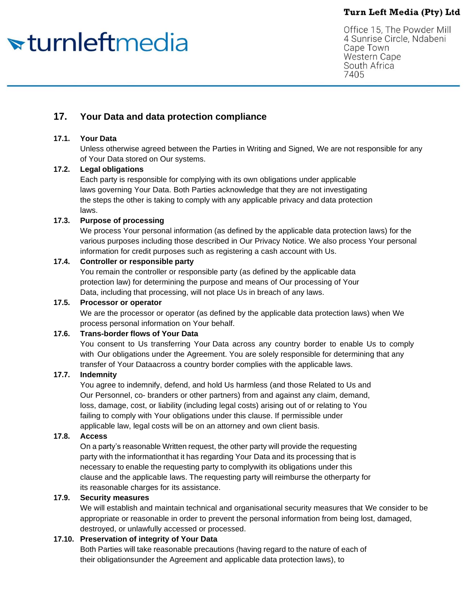# <del>v</del>turnleftmedia

Office 15, The Powder Mill 4 Sunrise Circle, Ndabeni Cape Town **Western Cape** South Africa 7405

# **17. Your Data and data protection compliance**

## **17.1. Your Data**

Unless otherwise agreed between the Parties in Writing and Signed, We are not responsible for any of Your Data stored on Our systems.

## **17.2. Legal obligations**

Each party is responsible for complying with its own obligations under applicable laws governing Your Data. Both Parties acknowledge that they are not investigating the steps the other is taking to comply with any applicable privacy and data protection laws.

## **17.3. Purpose of processing**

We process Your personal information (as defined by the applicable data protection laws) for the various purposes including those described in Our Privacy Notice. We also process Your personal information for credit purposes such as registering a cash account with Us.

## **17.4. Controller or responsible party**

You remain the controller or responsible party (as defined by the applicable data protection law) for determining the purpose and means of Our processing of Your Data, including that processing, will not place Us in breach of any laws.

## **17.5. Processor or operator**

We are the processor or operator (as defined by the applicable data protection laws) when We process personal information on Your behalf.

## **17.6. Trans-border flows of Your Data**

You consent to Us transferring Your Data across any country border to enable Us to comply with Our obligations under the Agreement. You are solely responsible for determining that any transfer of Your Dataacross a country border complies with the applicable laws.

## **17.7. Indemnity**

You agree to indemnify, defend, and hold Us harmless (and those Related to Us and Our Personnel, co- branders or other partners) from and against any claim, demand, loss, damage, cost, or liability (including legal costs) arising out of or relating to You failing to comply with Your obligations under this clause. If permissible under applicable law, legal costs will be on an attorney and own client basis.

## **17.8. Access**

On a party's reasonable Written request, the other party will provide the requesting party with the informationthat it has regarding Your Data and its processing that is necessary to enable the requesting party to complywith its obligations under this clause and the applicable laws. The requesting party will reimburse the otherparty for its reasonable charges for its assistance.

## **17.9. Security measures**

We will establish and maintain technical and organisational security measures that We consider to be appropriate or reasonable in order to prevent the personal information from being lost, damaged, destroyed, or unlawfully accessed or processed.

## **17.10. Preservation of integrity of Your Data**

Both Parties will take reasonable precautions (having regard to the nature of each of their obligationsunder the Agreement and applicable data protection laws), to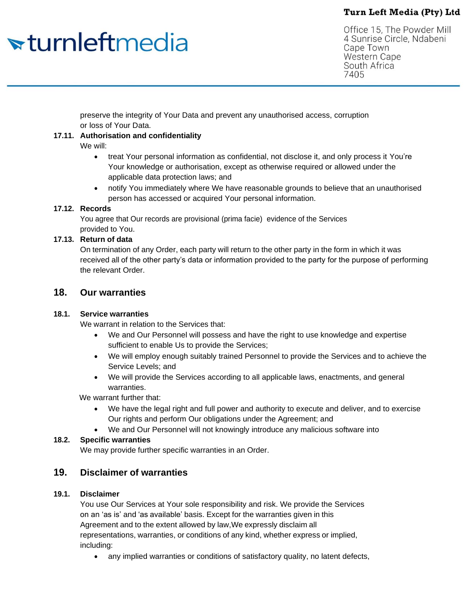# <del>sturnleftmedia</del>

Office 15, The Powder Mill 4 Sunrise Circle, Ndabeni Cape Town **Western Cape** South Africa 7405

preserve the integrity of Your Data and prevent any unauthorised access, corruption or loss of Your Data.

## **17.11. Authorisation and confidentiality**

We will:

- treat Your personal information as confidential, not disclose it, and only process it You're Your knowledge or authorisation, except as otherwise required or allowed under the applicable data protection laws; and
- notify You immediately where We have reasonable grounds to believe that an unauthorised person has accessed or acquired Your personal information.

## **17.12. Records**

You agree that Our records are provisional (prima facie) evidence of the Services provided to You.

## **17.13. Return of data**

On termination of any Order, each party will return to the other party in the form in which it was received all of the other party's data or information provided to the party for the purpose of performing the relevant Order.

## **18. Our warranties**

## **18.1. Service warranties**

We warrant in relation to the Services that:

- We and Our Personnel will possess and have the right to use knowledge and expertise sufficient to enable Us to provide the Services;
- We will employ enough suitably trained Personnel to provide the Services and to achieve the Service Levels; and
- We will provide the Services according to all applicable laws, enactments, and general warranties.

We warrant further that:

- We have the legal right and full power and authority to execute and deliver, and to exercise Our rights and perform Our obligations under the Agreement; and
- We and Our Personnel will not knowingly introduce any malicious software into

## **18.2. Specific warranties**

We may provide further specific warranties in an Order.

## **19. Disclaimer of warranties**

## **19.1. Disclaimer**

You use Our Services at Your sole responsibility and risk. We provide the Services on an 'as is' and 'as available' basis. Except for the warranties given in this Agreement and to the extent allowed by law,We expressly disclaim all representations, warranties, or conditions of any kind, whether express or implied, including:

any implied warranties or conditions of satisfactory quality, no latent defects,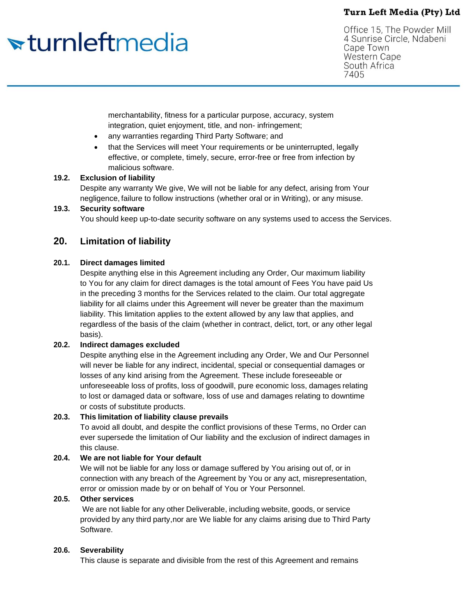# <del>sturnleftmedia</del>

Office 15, The Powder Mill 4 Sunrise Circle, Ndabeni Cape Town **Western Cape** South Africa 7405

merchantability, fitness for a particular purpose, accuracy, system integration, quiet enjoyment, title, and non- infringement;

- any warranties regarding Third Party Software; and
- that the Services will meet Your requirements or be uninterrupted, legally effective, or complete, timely, secure, error-free or free from infection by malicious software.

## **19.2. Exclusion of liability**

Despite any warranty We give, We will not be liable for any defect, arising from Your negligence, failure to follow instructions (whether oral or in Writing), or any misuse.

#### **19.3. Security software**

You should keep up-to-date security software on any systems used to access the Services.

## **20. Limitation of liability**

#### **20.1. Direct damages limited**

Despite anything else in this Agreement including any Order, Our maximum liability to You for any claim for direct damages is the total amount of Fees You have paid Us in the preceding 3 months for the Services related to the claim. Our total aggregate liability for all claims under this Agreement will never be greater than the maximum liability. This limitation applies to the extent allowed by any law that applies, and regardless of the basis of the claim (whether in contract, delict, tort, or any other legal basis).

## **20.2. Indirect damages excluded**

Despite anything else in the Agreement including any Order, We and Our Personnel will never be liable for any indirect, incidental, special or consequential damages or losses of any kind arising from the Agreement. These include foreseeable or unforeseeable loss of profits, loss of goodwill, pure economic loss, damages relating to lost or damaged data or software, loss of use and damages relating to downtime or costs of substitute products.

## **20.3. This limitation of liability clause prevails**

To avoid all doubt, and despite the conflict provisions of these Terms, no Order can ever supersede the limitation of Our liability and the exclusion of indirect damages in this clause.

## **20.4. We are not liable for Your default**

We will not be liable for any loss or damage suffered by You arising out of, or in connection with any breach of the Agreement by You or any act, misrepresentation, error or omission made by or on behalf of You or Your Personnel.

## **20.5. Other services**

We are not liable for any other Deliverable, including website, goods, or service provided by any third party,nor are We liable for any claims arising due to Third Party Software.

#### **20.6. Severability**

This clause is separate and divisible from the rest of this Agreement and remains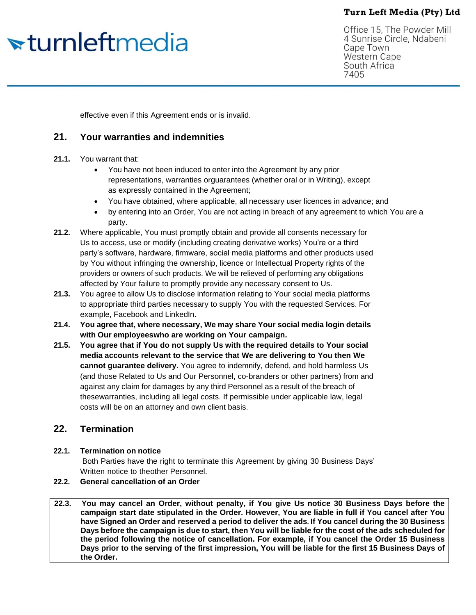# <del>sturnleftmedia</del>

Office 15, The Powder Mill 4 Sunrise Circle, Ndabeni Cape Town **Western Cape** South Africa 7405

effective even if this Agreement ends or is invalid.

## **21. Your warranties and indemnities**

## **21.1.** You warrant that:

- You have not been induced to enter into the Agreement by any prior representations, warranties orguarantees (whether oral or in Writing), except as expressly contained in the Agreement;
- You have obtained, where applicable, all necessary user licences in advance; and
- by entering into an Order, You are not acting in breach of any agreement to which You are a party.
- **21.2.** Where applicable, You must promptly obtain and provide all consents necessary for Us to access, use or modify (including creating derivative works) You're or a third party's software, hardware, firmware, social media platforms and other products used by You without infringing the ownership, licence or Intellectual Property rights of the providers or owners of such products. We will be relieved of performing any obligations affected by Your failure to promptly provide any necessary consent to Us.
- **21.3.** You agree to allow Us to disclose information relating to Your social media platforms to appropriate third parties necessary to supply You with the requested Services. For example, Facebook and LinkedIn.
- **21.4. You agree that, where necessary, We may share Your social media login details with Our employeeswho are working on Your campaign.**
- **21.5. You agree that if You do not supply Us with the required details to Your social media accounts relevant to the service that We are delivering to You then We cannot guarantee delivery.** You agree to indemnify, defend, and hold harmless Us (and those Related to Us and Our Personnel, co-branders or other partners) from and against any claim for damages by any third Personnel as a result of the breach of thesewarranties, including all legal costs. If permissible under applicable law, legal costs will be on an attorney and own client basis.

## **22. Termination**

## **22.1. Termination on notice**

Both Parties have the right to terminate this Agreement by giving 30 Business Days' Written notice to theother Personnel.

## **22.2. General cancellation of an Order**

**22.3. You may cancel an Order, without penalty, if You give Us notice 30 Business Days before the campaign start date stipulated in the Order. However, You are liable in full if You cancel after You** have Signed an Order and reserved a period to deliver the ads. If You cancel during the 30 Business Days before the campaign is due to start, then You will be liable for the cost of the ads scheduled for **the period following the notice of cancellation. For example, if You cancel the Order 15 Business Days prior to the serving of the first impression, You will be liable for the first 15 Business Days of the Order.**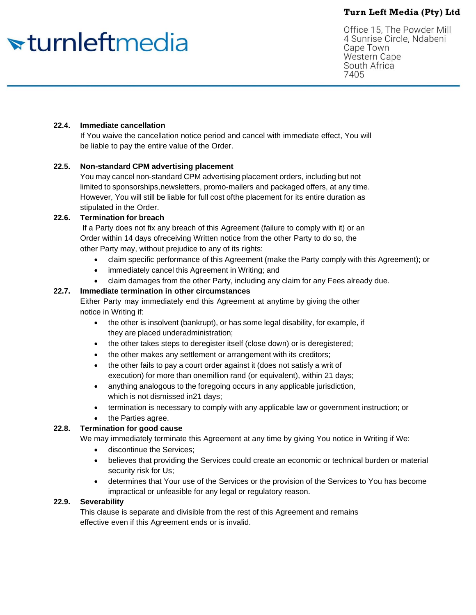# <del>sturnleftmedia</del>

Office 15, The Powder Mill 4 Sunrise Circle, Ndabeni Cape Town **Western Cape** South Africa 7405

#### **22.4. Immediate cancellation**

If You waive the cancellation notice period and cancel with immediate effect, You will be liable to pay the entire value of the Order.

#### **22.5. Non-standard CPM advertising placement**

You may cancel non-standard CPM advertising placement orders, including but not limited to sponsorships,newsletters, promo-mailers and packaged offers, at any time. However, You will still be liable for full cost ofthe placement for its entire duration as stipulated in the Order.

#### **22.6. Termination for breach**

If a Party does not fix any breach of this Agreement (failure to comply with it) or an Order within 14 days ofreceiving Written notice from the other Party to do so, the other Party may, without prejudice to any of its rights:

- claim specific performance of this Agreement (make the Party comply with this Agreement); or
- immediately cancel this Agreement in Writing; and
- claim damages from the other Party, including any claim for any Fees already due.

#### **22.7. Immediate termination in other circumstances**

Either Party may immediately end this Agreement at anytime by giving the other notice in Writing if:

- the other is insolvent (bankrupt), or has some legal disability, for example, if they are placed underadministration;
- the other takes steps to deregister itself (close down) or is deregistered;
- the other makes any settlement or arrangement with its creditors;
- the other fails to pay a court order against it (does not satisfy a writ of execution) for more than onemillion rand (or equivalent), within 21 days;
- anything analogous to the foregoing occurs in any applicable jurisdiction, which is not dismissed in21 days;
- termination is necessary to comply with any applicable law or government instruction; or
- the Parties agree.

## **22.8. Termination for good cause**

We may immediately terminate this Agreement at any time by giving You notice in Writing if We:

- discontinue the Services;
- believes that providing the Services could create an economic or technical burden or material security risk for Us;
- determines that Your use of the Services or the provision of the Services to You has become impractical or unfeasible for any legal or regulatory reason.

#### **22.9. Severability**

This clause is separate and divisible from the rest of this Agreement and remains effective even if this Agreement ends or is invalid.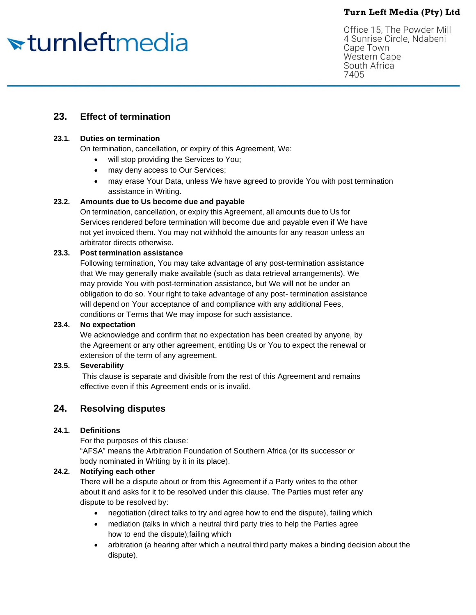# <del>v</del>turnleftmedia

Office 15, The Powder Mill 4 Sunrise Circle, Ndabeni Cape Town **Western Cape** South Africa 7405

## **23. Effect of termination**

## **23.1. Duties on termination**

On termination, cancellation, or expiry of this Agreement, We:

- will stop providing the Services to You;
- may deny access to Our Services;
- may erase Your Data, unless We have agreed to provide You with post termination assistance in Writing.

#### **23.2. Amounts due to Us become due and payable**

On termination, cancellation, or expiry this Agreement, all amounts due to Us for Services rendered before termination will become due and payable even if We have not yet invoiced them. You may not withhold the amounts for any reason unless an arbitrator directs otherwise.

#### **23.3. Post termination assistance**

Following termination, You may take advantage of any post-termination assistance that We may generally make available (such as data retrieval arrangements). We may provide You with post-termination assistance, but We will not be under an obligation to do so. Your right to take advantage of any post- termination assistance will depend on Your acceptance of and compliance with any additional Fees, conditions or Terms that We may impose for such assistance.

## **23.4. No expectation**

We acknowledge and confirm that no expectation has been created by anyone, by the Agreement or any other agreement, entitling Us or You to expect the renewal or extension of the term of any agreement.

## **23.5. Severability**

This clause is separate and divisible from the rest of this Agreement and remains effective even if this Agreement ends or is invalid.

## **24. Resolving disputes**

## **24.1. Definitions**

For the purposes of this clause: "AFSA" means the Arbitration Foundation of Southern Africa (or its successor or body nominated in Writing by it in its place).

## **24.2. Notifying each other**

There will be a dispute about or from this Agreement if a Party writes to the other about it and asks for it to be resolved under this clause. The Parties must refer any dispute to be resolved by:

- negotiation (direct talks to try and agree how to end the dispute), failing which
- mediation (talks in which a neutral third party tries to help the Parties agree how to end the dispute);failing which
- arbitration (a hearing after which a neutral third party makes a binding decision about the dispute).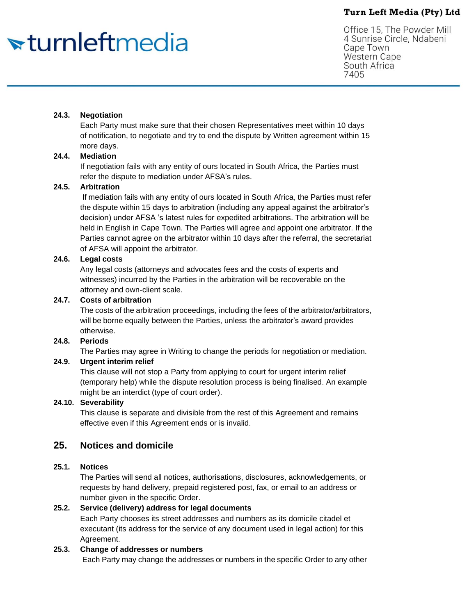# <del>v</del>turnleftmedia

Office 15, The Powder Mill 4 Sunrise Circle, Ndabeni Cape Town **Western Cape** South Africa 7405

#### **24.3. Negotiation**

Each Party must make sure that their chosen Representatives meet within 10 days of notification, to negotiate and try to end the dispute by Written agreement within 15 more days.

#### **24.4. Mediation**

If negotiation fails with any entity of ours located in South Africa, the Parties must refer the dispute to mediation under AFSA's rules.

#### **24.5. Arbitration**

If mediation fails with any entity of ours located in South Africa, the Parties must refer the dispute within 15 days to arbitration (including any appeal against the arbitrator's decision) under AFSA 's latest rules for expedited arbitrations. The arbitration will be held in English in Cape Town. The Parties will agree and appoint one arbitrator. If the Parties cannot agree on the arbitrator within 10 days after the referral, the secretariat of AFSA will appoint the arbitrator.

#### **24.6. Legal costs**

Any legal costs (attorneys and advocates fees and the costs of experts and witnesses) incurred by the Parties in the arbitration will be recoverable on the attorney and own-client scale.

#### **24.7. Costs of arbitration**

The costs of the arbitration proceedings, including the fees of the arbitrator/arbitrators, will be borne equally between the Parties, unless the arbitrator's award provides otherwise.

#### **24.8. Periods**

The Parties may agree in Writing to change the periods for negotiation or mediation.

## **24.9. Urgent interim relief**

This clause will not stop a Party from applying to court for urgent interim relief (temporary help) while the dispute resolution process is being finalised. An example might be an interdict (type of court order).

## **24.10. Severability**

This clause is separate and divisible from the rest of this Agreement and remains effective even if this Agreement ends or is invalid.

## **25. Notices and domicile**

## **25.1. Notices**

The Parties will send all notices, authorisations, disclosures, acknowledgements, or requests by hand delivery, prepaid registered post, fax, or email to an address or number given in the specific Order.

## **25.2. Service (delivery) address for legal documents**

Each Party chooses its street addresses and numbers as its domicile citadel et executant (its address for the service of any document used in legal action) for this Agreement.

#### **25.3. Change of addresses or numbers**

Each Party may change the addresses or numbers in the specific Order to any other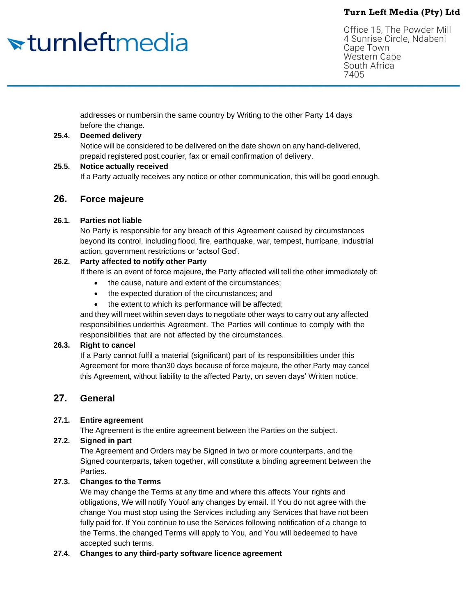# <del>sturnleftmedia</del>

Office 15, The Powder Mill 4 Sunrise Circle, Ndabeni Cape Town **Western Cape** South Africa 7405

addresses or numbersin the same country by Writing to the other Party 14 days before the change.

#### **25.4. Deemed delivery**

Notice will be considered to be delivered on the date shown on any hand-delivered, prepaid registered post,courier, fax or email confirmation of delivery.

#### **25.5. Notice actually received**

If a Party actually receives any notice or other communication, this will be good enough.

## **26. Force majeure**

#### **26.1. Parties not liable**

No Party is responsible for any breach of this Agreement caused by circumstances beyond its control, including flood, fire, earthquake, war, tempest, hurricane, industrial action, government restrictions or 'actsof God'.

## **26.2. Party affected to notify other Party**

If there is an event of force majeure, the Party affected will tell the other immediately of:

- the cause, nature and extent of the circumstances;
- the expected duration of the circumstances; and
- the extent to which its performance will be affected;

and they will meet within seven days to negotiate other ways to carry out any affected responsibilities underthis Agreement. The Parties will continue to comply with the responsibilities that are not affected by the circumstances.

## **26.3. Right to cancel**

If a Party cannot fulfil a material (significant) part of its responsibilities under this Agreement for more than30 days because of force majeure, the other Party may cancel this Agreement, without liability to the affected Party, on seven days' Written notice.

## **27. General**

## **27.1. Entire agreement**

The Agreement is the entire agreement between the Parties on the subject.

## **27.2. Signed in part**

The Agreement and Orders may be Signed in two or more counterparts, and the Signed counterparts, taken together, will constitute a binding agreement between the Parties.

## **27.3. Changes to the Terms**

We may change the Terms at any time and where this affects Your rights and obligations, We will notify Youof any changes by email. If You do not agree with the change You must stop using the Services including any Services that have not been fully paid for. If You continue to use the Services following notification of a change to the Terms, the changed Terms will apply to You, and You will bedeemed to have accepted such terms.

## **27.4. Changes to any third-party software licence agreement**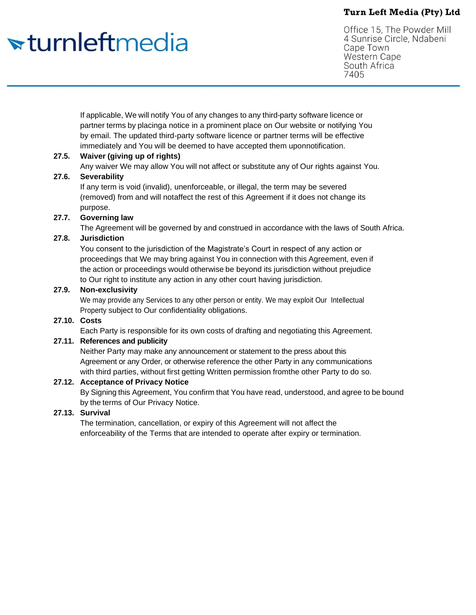# <del>v</del>turnleftmedia

Office 15, The Powder Mill 4 Sunrise Circle, Ndabeni Cape Town **Western Cape** South Africa 7405

If applicable, We will notify You of any changes to any third-party software licence or partner terms by placinga notice in a prominent place on Our website or notifying You by email. The updated third-party software licence or partner terms will be effective immediately and You will be deemed to have accepted them uponnotification.

## **27.5. Waiver (giving up of rights)**

Any waiver We may allow You will not affect or substitute any of Our rights against You.

#### **27.6. Severability**

If any term is void (invalid), unenforceable, or illegal, the term may be severed (removed) from and will notaffect the rest of this Agreement if it does not change its purpose.

## **27.7. Governing law**

The Agreement will be governed by and construed in accordance with the laws of South Africa.

## **27.8. Jurisdiction**

You consent to the jurisdiction of the Magistrate's Court in respect of any action or proceedings that We may bring against You in connection with this Agreement, even if the action or proceedings would otherwise be beyond its jurisdiction without prejudice to Our right to institute any action in any other court having jurisdiction.

## **27.9. Non-exclusivity**

We may provide any Services to any other person or entity. We may exploit Our Intellectual Property subject to Our confidentiality obligations.

## **27.10. Costs**

Each Party is responsible for its own costs of drafting and negotiating this Agreement.

## **27.11. References and publicity**

Neither Party may make any announcement or statement to the press about this Agreement or any Order, or otherwise reference the other Party in any communications with third parties, without first getting Written permission fromthe other Party to do so.

## **27.12. Acceptance of Privacy Notice**

By Signing this Agreement, You confirm that You have read, understood, and agree to be bound by the terms of Our Privacy Notice.

## **27.13. Survival**

The termination, cancellation, or expiry of this Agreement will not affect the enforceability of the Terms that are intended to operate after expiry or termination.